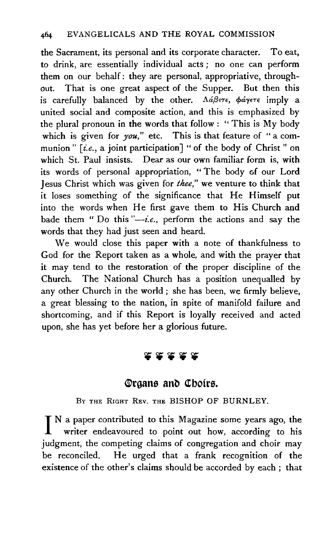the Sacrament, its personal and its corporate character. To eat, to drink, are essentially individual acts ; no one can perform them on our behalf: they are personal, appropriative, throughout. That is one great aspect of the Supper. But then this is carefully balanced by the other.  $\Lambda d\beta$ <sub>ere,</sub>  $\phi d\gamma$ <sub>ere</sub> imply a united social and composite action, and this is emphasized by the plural pronoun in the words that follow : " This is My body which is given for *you*," etc. This is that feature of "a communion" *[i.e., a joint participation]* " of the body of Christ" on which St. Paul insists. Dear as our own familiar form is, with its words of personal appropriation, "The body of our Lord Jesus Christ which was given for *thee,"* we venture to think that it loses something of the significance that He Himself put into the words when He first gave them to His Church and bade them " Do this "-i.e., perform the actions and say the words that they had just seen and heard.

We would close this paper with a note of thankfulness to God for the Report taken as a whole, and with the prayer that it may tend to the restoration of the proper discipline of the Church. The National Church has a position unequalled by any other Church in the world ; she has been, we firmly believe, a great blessing to the nation, in spite of manifold failure and shortcoming, and if this Report is loyally received and acted upon, she has yet before her a glorious future.

## 26 26 26

## **<u>Organs</u>** and Choirs.

BY THE RIGHT REV. THE BISHOP OF BURNLEY.

I N a paper contributed to this Magazine some years ago, the writer endeavoured to point out how, according to his judgment, the competing claims of congregation and choir may be reconciled. He urged that a frank recognition of the existence of the other's claims should be accorded by each; that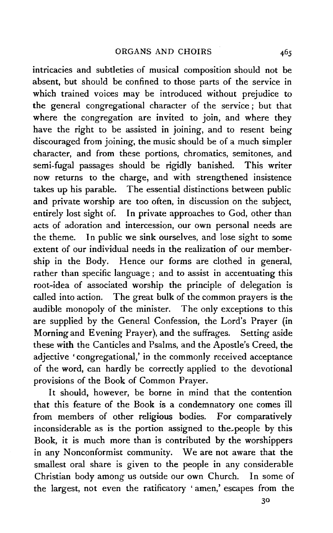intricacies and subtleties of musical composition should not be absent, but should be confined to those parts of the service in which trained voices may be introduced without prejudice to the general congregational character of the service ; but that where the congregation are invited to join, and where they have the right to be assisted in joining, and to resent being discouraged from joining, the music should be of a much simpler character, and from these portions, chromatics, semitones, and semi-fugal passages should be rigidly banished. This writer now returns to the charge, and with strengthened insistence takes up his parable. The essential distinctions between public and private worship are too often, in discussion on the subject, entirely lost sight of. In private approaches to God, other than acts of adoration and intercession, our own personal needs are the theme. In public we sink ourselves, and lose sight to some extent of our individual needs in the realization of our membership in the Body. Hence our forms are clothed in general, rather than specific language ; and to assist in accentuating this root-idea of associated worship the principle of delegation is called into action. The great bulk of the common prayers is the audible monopoly of the minister. The only exceptions to this are supplied by the General Confession, the Lord's Prayer (in Morning and Evening Prayer), and the suffrages. Setting aside these with the Canticles and Psalms, and the Apostle's Creed, the adjective 'congregational,' in the commonly received acceptance of the word, can hardly be correctly applied to the devotional provisions of the Book of Common Prayer.

It should, however, be borne in mind that the contention that this feature of the Book is a condemnatory one comes ill from members of other religious bodies. For comparatively inconsiderable as is the portion assigned to the,people by this Book, it is much more than is contributed by the worshippers in any Nonconformist community. We are not aware that the smallest oral share is given to the people in any considerable Christian body among us outside our own Church. In some of the largest, not even the ratificatory 'amen,' escapes from the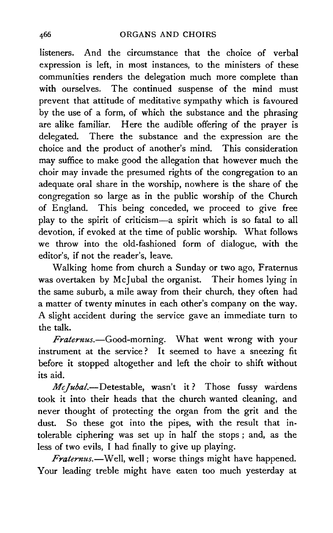listeners. And the circumstance that the choice of verbal expression is left, in most instances, to the ministers of these communities renders the delegation much more complete than with ourselves. The continued suspense of the mind must prevent that attitude of meditative sympathy which is favoured by the use of a form, of which the substance and the phrasing are alike familiar. Here the audible offering of the prayer is delegated. There the substance and the expression are the choice and the product of another's mind. This consideration may suffice to make good the allegation that however much the choir may invade the presumed rights of the congregation to an adequate oral share in the worship, nowhere is the share of the congregation so large as in the public worship of the Church of England. This being conceded, we proceed to give free play to the spirit of criticism-a spirit which is so fatal to all devotion, if evoked at the time of public worship. What follows we throw into the old-fashioned form of dialogue, with the editor's, if not the reader's, leave.

Walking home from church a Sunday or two ago, Fraternus was overtaken by McJubal the organist. Their homes lying in the same suburb, a mile away from their church, they often had a matter of twenty minutes in each other's company on the way. A slight accident during the service gave an immediate turn to the talk.

*Fraternus.-Good-morning.* What went wrong with your instrument at the service? It seemed to have a sneezing fit before it stopped altogether and left the choir to shift without its aid.

*McJubal.-Detestable,* wasn't it? Those fussy wardens took it into their heads that the church wanted cleaning, and never thought of protecting the organ from the grit and the dust. So these got into the pipes, with the result that intolerable ciphering was set up in half the stops ; and, as the less of two evils, I had finally to give up playing.

*Fraternus.*—Well, well ; worse things might have happened. Your leading treble might have eaten too much yesterday at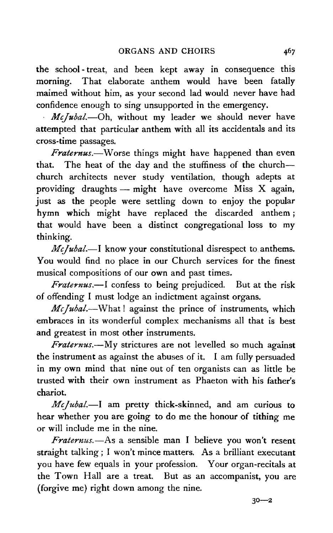the school- treat, and been kept away in consequence this morning. That elaborate anthem would have been fatally maimed without him, as your second lad would never have had confidence enough to sing unsupported in the emergency.

· *McJubal.*--Oh, without my leader we should never have attempted that particular anthem with all its accidentals and its cross-time passages.

*Fraternus.-Worse* things might have happened than even that. The heat of the day and the stuffiness of the churchchurch architects never study ventilation, though adepts at providing draughts  $-$  might have overcome Miss X again, just as the people were settling down to enjoy the popular hymn which might have replaced the discarded anthem ; that would have been a distinct congregational loss to my thinking.

*McJubal.*-I know your constitutional disrespect to anthems. You would find no place in our Church services for the finest musical compositions of our own and past times.

*Fraternus.-I* confess to being prejudiced. But at the risk of offending I must lodge an indictment against organs.

*McJubal.*-What! against the prince of instruments, which embraces in its wonderful complex mechanisms all that is best and greatest in most other instruments.

*Fraternus.*-My strictures are not levelled so much against the instrument as against the abuses of it. I am fully persuaded in my own mind that nine out of ten organists can as little be trusted with their own instrument as Phaeton with his father's chariot.

*McJubal.*-I am pretty thick-skinned, and am curious to hear whether you are going to do me the honour of tithing me or will include me in the nine.

*Fraternus.-As* a sensible man I believe you won't resent straight talking ; I won't mince matters. As a brilliant executant you have few equals in your profession. Your organ-recitals at the Town Hall are a treat. But as an accompanist, you are (forgive me) right down among the nine.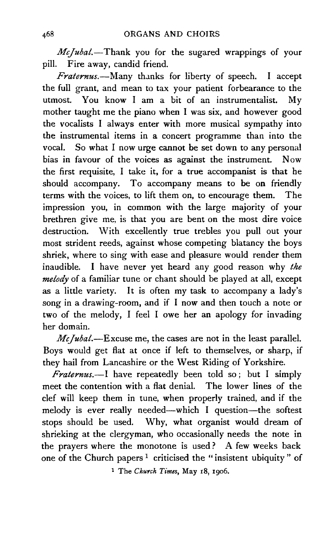*McJubal.-*Thank you for the sugared wrappings of your pill. Fire away, candid friend.

*Fraternus.-Many* thanks for liberty of speech. I accept the full grant, and mean to tax your patient forbearance to the utmost. You know I am a bit of an instrumentalist. My mother taught me the piano when I was six, and however good the vocalists I always enter with more musical sympathy into the instrumental items in a concert programme than into the vocal. So what I now urge cannot be set down to any personal bias in favour of the voices as against the instrument. Now the first requisite, I take it, for a true accompanist is that he should accompany. To accompany means to be on friendly terms with the voices, to lift them on, to encourage them. The impression you, in common with the large majority of your brethren give me, is that you are bent on the most dire voice destruction. With excellently true trebles you pull out your most strident reeds, against whose competing blatancy the boys shriek, where to sing with ease and pleasure would render them inaudible. I have never yet heard any good reason why *the melody* of a familiar tune or chant should be played at all, except as a little variety. It is often my task to accompany a lady's song in a drawing-room, and if I now and then touch a note or two of the melody, I feel I owe her an apology for invading her domain.

*Mc]ubal.-Excuse* me, the cases are not in the least parallel. Boys would get flat at once if left to themselves, or sharp, if they hail from Lancashire or the West Riding of Yorkshire.

*Fraternus.-I* have repeatedly been told so; but I simply meet the contention with a flat denial. The lower lines of the clef will keep them in tune, when properly trained, and if the melody is ever really needed-which I question-the softest stops should be used. Why, what organist would dream of shrieking at the clergyman, who occasionally needs the note in the prayers where the monotone is used? A few weeks back one of the Church papers<sup>1</sup> criticised the "insistent ubiquity" of

1 The *Church Times,* May 18, Igo6.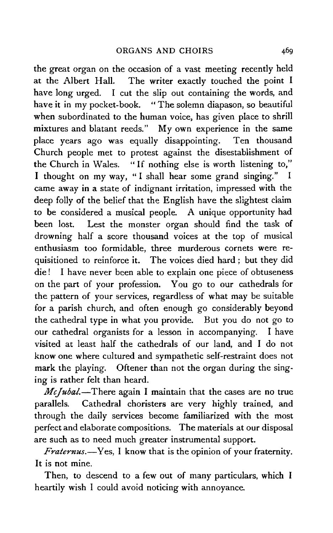the great organ on the occasion of a vast meeting recently held at the Albert Hall. The writer exactly touched the point I have long urged. I cut the slip out containing the words, and have it in my pocket-book. "The solemn diapason, so beautiful when subordinated to the human voice, has given place to shrill mixtures and blatant reeds." My own experience in the same place years ago was equally disappointing. Ten thousand Church people met to protest against the disestablishment of the Church in Wales. "If nothing else is worth listening to," I thought on my way, "I shall hear some grand singing." I came away in a state of indignant irritation, impressed with the deep folly of the belief that the English have the slightest claim to be considered a musical people. A unique opportunity had been lost. Lest the monster organ should find the task of drowning half a score thousand voices at the top of musical enthusiasm too formidable, three murderous cornets were requisitioned to reinforce it. The voices died hard ; but they did die! I have never been able to explain one piece of obtuseness on the part of your profession. You go to our cathedrals for the pattern of your services, regardless of what may be suitable for a parish church, and often enough go considerably beyond the cathedral type in what you provide. But you do not go to our cathedral organists for a lesson in accompanying. I have visited at least half the cathedrals of our land, and I do not know one where cultured and sympathetic self-restraint does not mark the playing. Oftener than not the organ during the singing is rather felt than heard.

*Mcjubal.-There* again I maintain that the cases are no true parallels. Cathedral choristers are very highly trained, and through the daily services become familiarized with the most perfect and elaborate compositions. The materials at our disposal are such as to need much greater instrumental support.

*Fraternus.*—Yes, I know that is the opinion of your fraternity. It is not mine.

Then, to descend to a few out of many particulars, which I heartily wish I could avoid noticing with annoyance.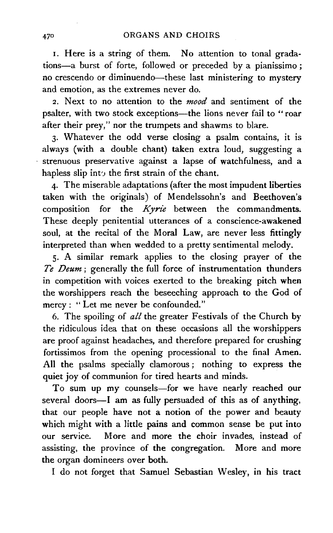I. Here is a string of them. No attention to tonal gradations-a burst of forte, followed or preceded by a pianissimo ; no crescendo or diminuendo—these last ministering to mystery and emotion, as the extremes never do.

2. Next to no attention to the *mood* and sentiment of the psalter, with two stock exceptions-the lions never fail to "roar after their prey," nor the trumpets and shawms to blare.

3· Whatever the odd verse closing a psalm contains, it is always (with a double chant) taken extra loud, suggesting a strenuous preservative against a lapse of watchfulness, and a hapless slip into the first strain of the chant.

4· The miserable adaptations (after the most impudent liberties taken with the originals) of Mendelssohn's and Beethoven's composition for the *Kyrie* between the commandments. These deeply penitential utterances of a conscience-awakened soul, at the recital of the Moral Law, are never less fittingly interpreted than when wedded to a pretty sentimental melody.

5· A similar remark applies to the closing prayer of the *Te Deum* ; generally the full force of instrumentation thunders in competition with voices exerted to the breaking pitch when the worshippers reach the beseeching approach to the God of mercy : " Let me never be confounded."

6. The spoiling of *all* the greater Festivals of the Church by the ridiculous idea that on these occasions all the worshippers are proof against headaches, and therefore prepared for crushing fortissimos from the opening processional to the final Amen. All the psalms specially clamorous ; nothing to express the quiet joy of communion for tired hearts and minds.

To sum up my counsels-for we have nearly reached our several doors-I am as fully persuaded of this as of anything, that our people have not a notion of the power and beauty which might with a little pains and common sense be put into our service. More and more the choir invades, instead of assisting, the province of the congregation. More and more the organ domineers over both.

I do not forget that Samuel Sebastian Wesley, in his tract